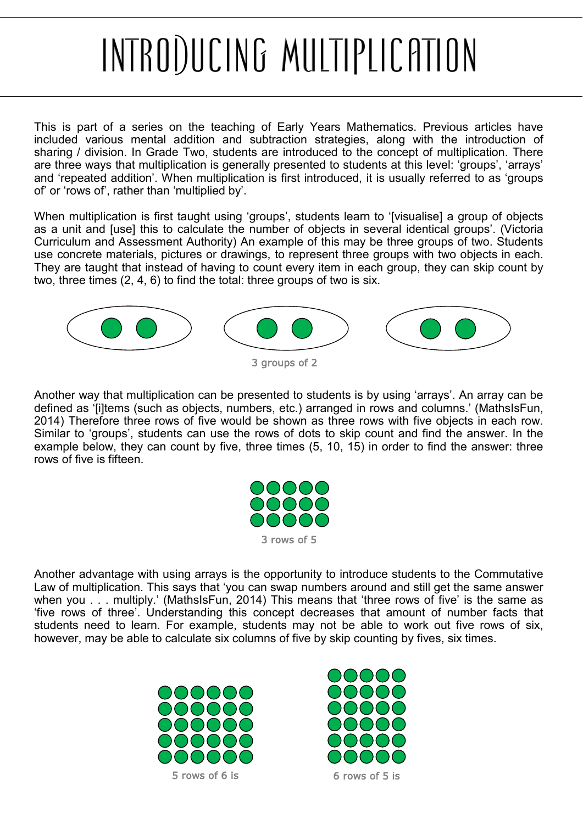## <span id="page-0-0"></span>INTRODUCING MULTIPLICATION

This is part of a series on the teaching of Early Years Mathematics. Previous articles have included various mental addition and subtraction strategies, along with the introduction of sharing / division. In Grade Two, students are introduced to the concept of multiplication. There are three ways that multiplication is generally presented to students at this level: 'groups', 'arrays' and 'repeated addition'. When multiplication is first introduced, it is usually referred to as 'groups of' or 'rows of', rather than 'multiplied by'.

When multiplication is first taught using 'groups', students learn to '[visualise] a group of objects as a unit and [use] this to calculate the number of objects in several identical groups'. (Victoria Curriculum and Assessment Authority) An example of this may be three groups of two. Students use concrete materials, pictures or drawings, to represent three groups with two objects in each. They are taught that instead of having to count every item in each group, they can skip count by two, three times (2, 4, 6) to find the total: three groups of two is six.



Another way that multiplication can be presented to students is by using 'arrays'. An array can be defined as '[i]tems (such as objects, numbers, etc.) arranged in rows and columns.' (MathsIsFun, 2014) Therefore three rows of five would be shown as three rows with five objects in each row. Similar to 'groups', students can use the rows of dots to skip count and find the answer. In the example below, they can count by five, three times (5, 10, 15) in order to find the answer: three rows of five is fifteen.



Another advantage with using arrays is the opportunity to introduce students to the Commutative Law of multiplication. This says that 'you can swap numbers around and still get the same answer when you . . . multiply.' (MathsIsFun, 2014) This means that 'three rows of five' is the same as 'five rows of three'. Understanding this concept decreases that amount of number facts that students need to learn. For example, students may not be able to work out five rows of six, however, may be able to calculate six columns of five by skip counting by fives, six times.